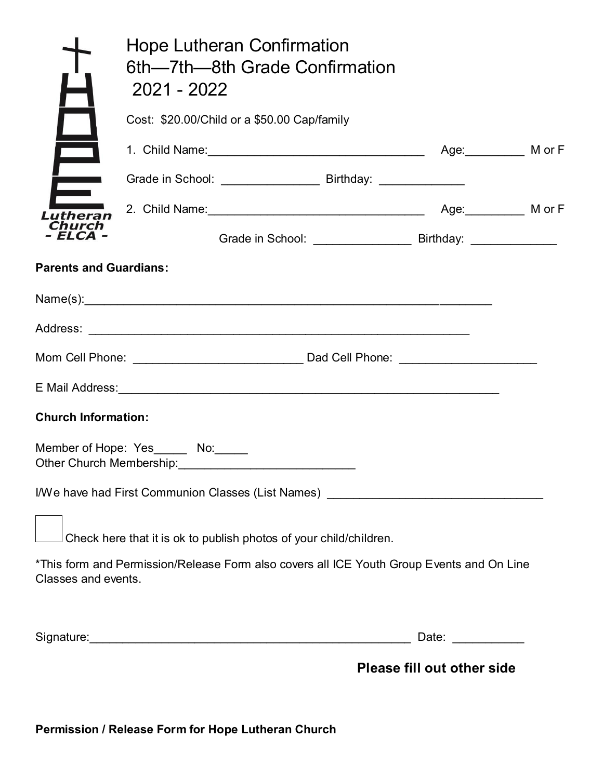|                               | Hope Lutheran Confirmation<br>6th—7th—8th Grade Confirmation<br>2021 - 2022               |                            |  |
|-------------------------------|-------------------------------------------------------------------------------------------|----------------------------|--|
|                               | Cost: \$20.00/Child or a \$50.00 Cap/family                                               |                            |  |
| $\blacksquare$                | 1. Child Name: Manual Museum Age: Mor F                                                   |                            |  |
| $\overline{\phantom{1}}$      | Grade in School: ___________________________ Birthday: ________________                   |                            |  |
| Lutheran                      |                                                                                           |                            |  |
| hurch<br>FLCA-                |                                                                                           |                            |  |
| <b>Parents and Guardians:</b> |                                                                                           |                            |  |
|                               |                                                                                           |                            |  |
|                               |                                                                                           |                            |  |
|                               |                                                                                           |                            |  |
|                               |                                                                                           |                            |  |
| <b>Church Information:</b>    |                                                                                           |                            |  |
|                               | Member of Hope: Yes_______ No:______<br>Other Church Membership:<br><u> </u>              |                            |  |
|                               | I/We have had First Communion Classes (List Names) _____________________________          |                            |  |
|                               | Check here that it is ok to publish photos of your child/children.                        |                            |  |
| Classes and events.           | *This form and Permission/Release Form also covers all ICE Youth Group Events and On Line |                            |  |
|                               |                                                                                           | Date: ___________          |  |
|                               |                                                                                           | Please fill out other side |  |